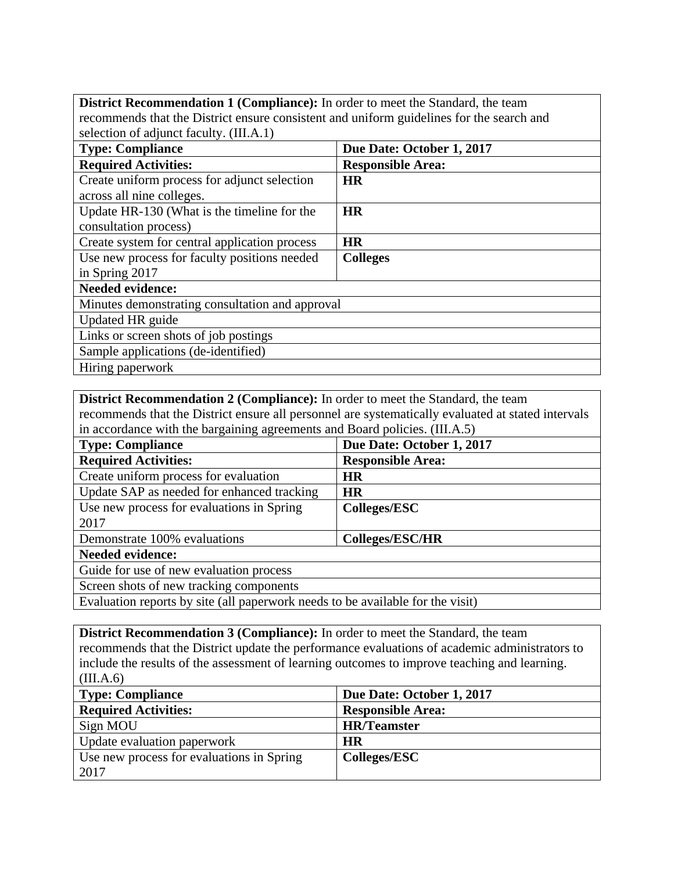| District Recommendation 1 (Compliance): In order to meet the Standard, the team          |                           |  |
|------------------------------------------------------------------------------------------|---------------------------|--|
| recommends that the District ensure consistent and uniform guidelines for the search and |                           |  |
| selection of adjunct faculty. (III.A.1)                                                  |                           |  |
| <b>Type: Compliance</b>                                                                  | Due Date: October 1, 2017 |  |
| <b>Required Activities:</b>                                                              | <b>Responsible Area:</b>  |  |
| Create uniform process for adjunct selection                                             | <b>HR</b>                 |  |
| across all nine colleges.                                                                |                           |  |
| Update HR-130 (What is the timeline for the                                              | <b>HR</b>                 |  |
| consultation process)                                                                    |                           |  |
| Create system for central application process                                            | <b>HR</b>                 |  |
| Use new process for faculty positions needed                                             | <b>Colleges</b>           |  |
| in Spring 2017                                                                           |                           |  |
| <b>Needed evidence:</b>                                                                  |                           |  |
| Minutes demonstrating consultation and approval                                          |                           |  |
| Updated HR guide                                                                         |                           |  |
| Links or screen shots of job postings                                                    |                           |  |
| Sample applications (de-identified)                                                      |                           |  |
| Hiring paperwork                                                                         |                           |  |

**District Recommendation 2 (Compliance):** In order to meet the Standard, the team recommends that the District ensure all personnel are systematically evaluated at stated intervals in accordance with the bargaining agreements and Board policies. (III.A.5)

| -ר-ה                                                                           |                           |
|--------------------------------------------------------------------------------|---------------------------|
| <b>Type: Compliance</b>                                                        | Due Date: October 1, 2017 |
| <b>Required Activities:</b>                                                    | <b>Responsible Area:</b>  |
| Create uniform process for evaluation                                          | <b>HR</b>                 |
| Update SAP as needed for enhanced tracking                                     | <b>HR</b>                 |
| Use new process for evaluations in Spring                                      | <b>Colleges/ESC</b>       |
| 2017                                                                           |                           |
| Demonstrate 100% evaluations                                                   | <b>Colleges/ESC/HR</b>    |
| <b>Needed evidence:</b>                                                        |                           |
| Guide for use of new evaluation process                                        |                           |
| Screen shots of new tracking components                                        |                           |
| Evaluation reports by site (all paperwork needs to be available for the visit) |                           |

Evaluation reports by site (all paperwork needs to be available for the visit)

**District Recommendation 3 (Compliance):** In order to meet the Standard, the team recommends that the District update the performance evaluations of academic administrators to include the results of the assessment of learning outcomes to improve teaching and learning. (III.A.6)

| <b>Type: Compliance</b>                   | Due Date: October 1, 2017 |
|-------------------------------------------|---------------------------|
| <b>Required Activities:</b>               | <b>Responsible Area:</b>  |
| Sign MOU                                  | <b>HR/Teamster</b>        |
| Update evaluation paperwork               | <b>HR</b>                 |
| Use new process for evaluations in Spring | Colleges/ESC              |
| 2017                                      |                           |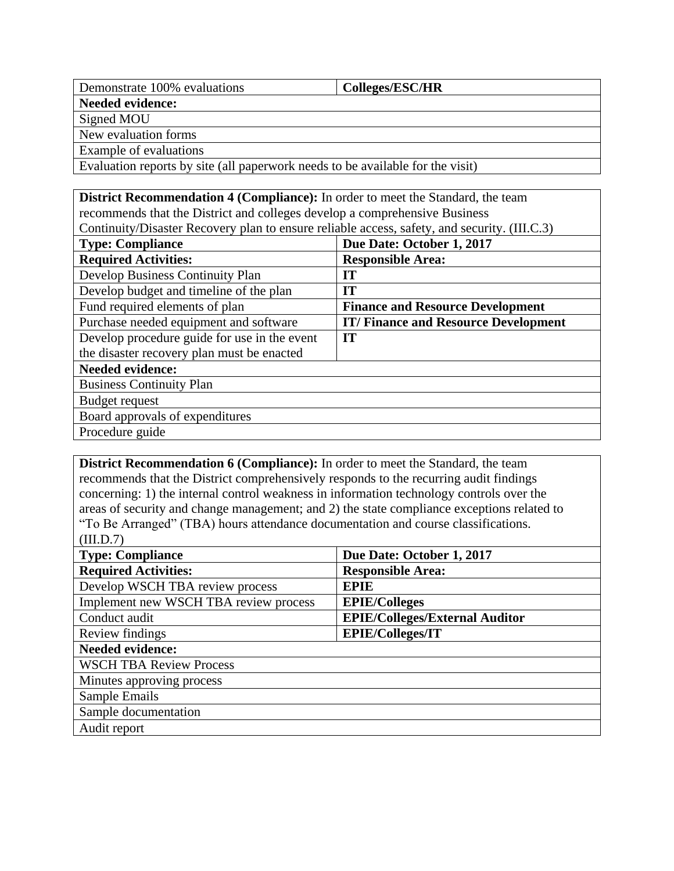| Demonstrate 100% evaluations                        | <b>Colleges/ESC/HR</b>                                          |
|-----------------------------------------------------|-----------------------------------------------------------------|
| Needed evidence:                                    |                                                                 |
| Signed MOU                                          |                                                                 |
| New evaluation forms                                |                                                                 |
| <b>Example of evaluations</b>                       |                                                                 |
| $\mathbf{r}$ $\mathbf{r}$ $\mathbf{r}$ $\mathbf{r}$ | $\mathbf{H}$ and $\mathbf{C}$ and $\mathbf{H}$ and $\mathbf{H}$ |

Evaluation reports by site (all paperwork needs to be available for the visit)

| <b>District Recommendation 4 (Compliance):</b> In order to meet the Standard, the team       |  |  |
|----------------------------------------------------------------------------------------------|--|--|
| recommends that the District and colleges develop a comprehensive Business                   |  |  |
| Continuity/Disaster Recovery plan to ensure reliable access, safety, and security. (III.C.3) |  |  |

| <b>Type: Compliance</b>                      | Due Date: October 1, 2017                  |
|----------------------------------------------|--------------------------------------------|
| <b>Required Activities:</b>                  | <b>Responsible Area:</b>                   |
| Develop Business Continuity Plan             | IT                                         |
| Develop budget and timeline of the plan      | IT                                         |
| Fund required elements of plan               | <b>Finance and Resource Development</b>    |
| Purchase needed equipment and software       | <b>IT/Finance and Resource Development</b> |
| Develop procedure guide for use in the event | IT                                         |
| the disaster recovery plan must be enacted   |                                            |
| <b>Needed evidence:</b>                      |                                            |
| <b>Business Continuity Plan</b>              |                                            |
| Budget request                               |                                            |
| Board approvals of expenditures              |                                            |
| Procedure guide                              |                                            |

**District Recommendation 6 (Compliance):** In order to meet the Standard, the team recommends that the District comprehensively responds to the recurring audit findings concerning: 1) the internal control weakness in information technology controls over the areas of security and change management; and 2) the state compliance exceptions related to "To Be Arranged" (TBA) hours attendance documentation and course classifications. (III.D.7)

| <b>Type: Compliance</b>               | Due Date: October 1, 2017             |  |
|---------------------------------------|---------------------------------------|--|
| <b>Required Activities:</b>           | <b>Responsible Area:</b>              |  |
| Develop WSCH TBA review process       | <b>EPIE</b>                           |  |
| Implement new WSCH TBA review process | <b>EPIE/Colleges</b>                  |  |
| Conduct audit                         | <b>EPIE/Colleges/External Auditor</b> |  |
| Review findings                       | <b>EPIE/Colleges/IT</b>               |  |
| <b>Needed evidence:</b>               |                                       |  |
| <b>WSCH TBA Review Process</b>        |                                       |  |
| Minutes approving process             |                                       |  |
| Sample Emails                         |                                       |  |
| Sample documentation                  |                                       |  |
| Audit report                          |                                       |  |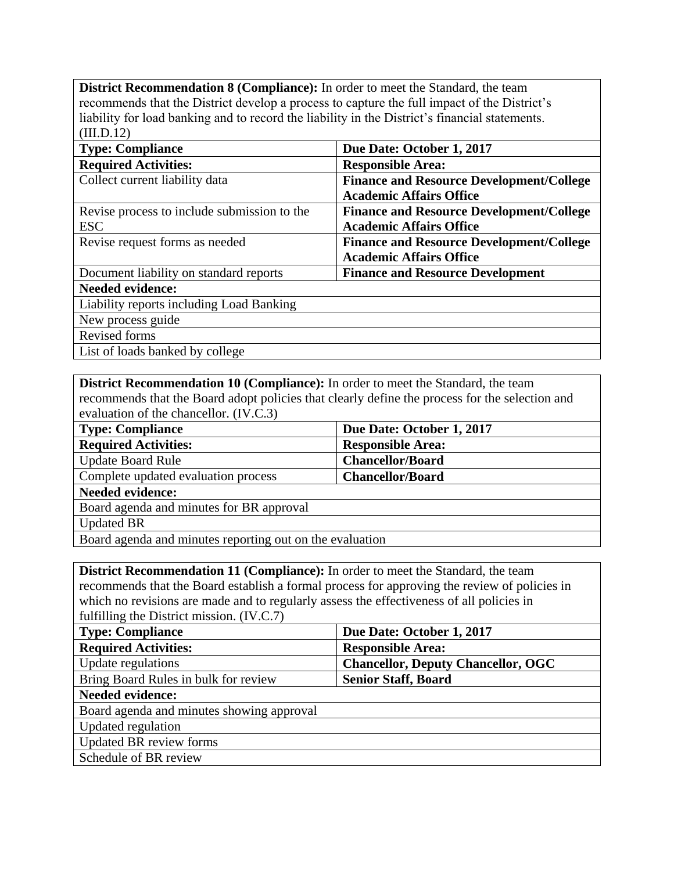**District Recommendation 8 (Compliance):** In order to meet the Standard, the team recommends that the District develop a process to capture the full impact of the District's liability for load banking and to record the liability in the District's financial statements. (III.D.12)

| <b>Type: Compliance</b>                     | Due Date: October 1, 2017                       |
|---------------------------------------------|-------------------------------------------------|
|                                             |                                                 |
| <b>Required Activities:</b>                 | <b>Responsible Area:</b>                        |
| Collect current liability data              | <b>Finance and Resource Development/College</b> |
|                                             | <b>Academic Affairs Office</b>                  |
| Revise process to include submission to the | <b>Finance and Resource Development/College</b> |
| <b>ESC</b>                                  | <b>Academic Affairs Office</b>                  |
| Revise request forms as needed              | <b>Finance and Resource Development/College</b> |
|                                             | <b>Academic Affairs Office</b>                  |
| Document liability on standard reports      | <b>Finance and Resource Development</b>         |
| <b>Needed evidence:</b>                     |                                                 |
| Liability reports including Load Banking    |                                                 |
| New process guide                           |                                                 |
| Revised forms                               |                                                 |
| List of loads banked by college             |                                                 |

**District Recommendation 10 (Compliance):** In order to meet the Standard, the team recommends that the Board adopt policies that clearly define the process for the selection and evaluation of the chancellor. (IV.C.3)

| <b>Type: Compliance</b>                                  | Due Date: October 1, 2017 |
|----------------------------------------------------------|---------------------------|
| <b>Required Activities:</b>                              | <b>Responsible Area:</b>  |
| <b>Update Board Rule</b>                                 | <b>Chancellor/Board</b>   |
| Complete updated evaluation process                      | <b>Chancellor/Board</b>   |
| <b>Needed evidence:</b>                                  |                           |
| Board agenda and minutes for BR approval                 |                           |
| <b>Updated BR</b>                                        |                           |
| Board agenda and minutes reporting out on the evaluation |                           |

**District Recommendation 11 (Compliance):** In order to meet the Standard, the team recommends that the Board establish a formal process for approving the review of policies in which no revisions are made and to regularly assess the effectiveness of all policies in fulfilling the District mission. (IV.C.7)

| <b>Type: Compliance</b>                   | Due Date: October 1, 2017                 |
|-------------------------------------------|-------------------------------------------|
| <b>Required Activities:</b>               | <b>Responsible Area:</b>                  |
| <b>Update regulations</b>                 | <b>Chancellor, Deputy Chancellor, OGC</b> |
| Bring Board Rules in bulk for review      | <b>Senior Staff, Board</b>                |
| <b>Needed evidence:</b>                   |                                           |
| Board agenda and minutes showing approval |                                           |
| <b>Updated regulation</b>                 |                                           |
| <b>Updated BR</b> review forms            |                                           |
| Schedule of BR review                     |                                           |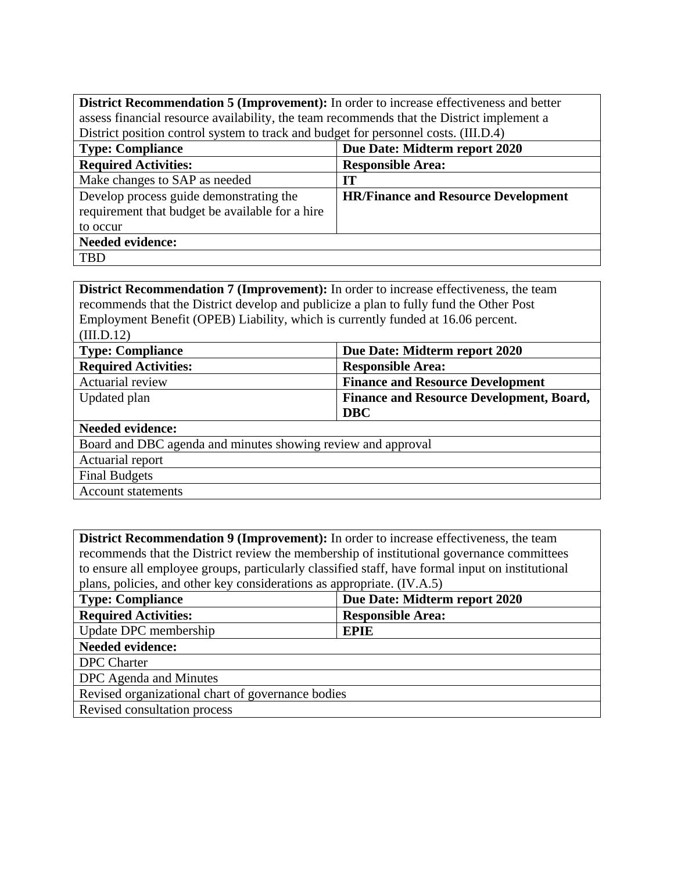**District Recommendation 5 (Improvement):** In order to increase effectiveness and better assess financial resource availability, the team recommends that the District implement a District position control system to track and budget for personnel costs. (III.D.4)

| <b>Type: Compliance</b>                                                                                | Due Date: Midterm report 2020              |
|--------------------------------------------------------------------------------------------------------|--------------------------------------------|
| <b>Required Activities:</b>                                                                            | <b>Responsible Area:</b>                   |
| Make changes to SAP as needed                                                                          | IT                                         |
| Develop process guide demonstrating the<br>requirement that budget be available for a hire<br>to occur | <b>HR/Finance and Resource Development</b> |
| <b>Needed evidence:</b>                                                                                |                                            |
| <b>TBD</b>                                                                                             |                                            |

**District Recommendation 7 (Improvement):** In order to increase effectiveness, the team recommends that the District develop and publicize a plan to fully fund the Other Post Employment Benefit (OPEB) Liability, which is currently funded at 16.06 percent. (III.D.12)

| <b>Type: Compliance</b>                                      | Due Date: Midterm report 2020                   |  |
|--------------------------------------------------------------|-------------------------------------------------|--|
| <b>Required Activities:</b>                                  | <b>Responsible Area:</b>                        |  |
| Actuarial review                                             | <b>Finance and Resource Development</b>         |  |
| Updated plan                                                 | <b>Finance and Resource Development, Board,</b> |  |
|                                                              | <b>DBC</b>                                      |  |
| <b>Needed evidence:</b>                                      |                                                 |  |
| Board and DBC agenda and minutes showing review and approval |                                                 |  |
| Actuarial report                                             |                                                 |  |
| <b>Final Budgets</b>                                         |                                                 |  |
| <b>Account statements</b>                                    |                                                 |  |

**District Recommendation 9 (Improvement):** In order to increase effectiveness, the team recommends that the District review the membership of institutional governance committees to ensure all employee groups, particularly classified staff, have formal input on institutional plans, policies, and other key considerations as appropriate. (IV.A.5)

| <b>Type: Compliance</b>                           | Due Date: Midterm report 2020 |
|---------------------------------------------------|-------------------------------|
| <b>Required Activities:</b>                       | <b>Responsible Area:</b>      |
| Update DPC membership                             | <b>EPIE</b>                   |
| <b>Needed evidence:</b>                           |                               |
| <b>DPC</b> Charter                                |                               |
| DPC Agenda and Minutes                            |                               |
| Revised organizational chart of governance bodies |                               |
| Revised consultation process                      |                               |